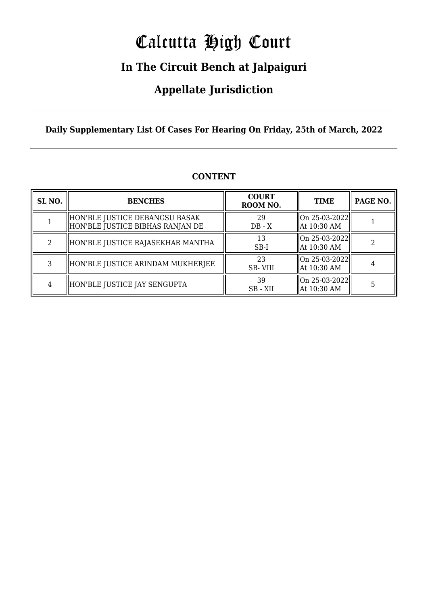# Calcutta High Court

### **In The Circuit Bench at Jalpaiguri**

### **Appellate Jurisdiction**

**Daily Supplementary List Of Cases For Hearing On Friday, 25th of March, 2022**

| SL <sub>NO.</sub> | <b>BENCHES</b>                                                        | <b>COURT</b><br>ROOM NO. | <b>TIME</b>                              | PAGE NO. |
|-------------------|-----------------------------------------------------------------------|--------------------------|------------------------------------------|----------|
|                   | HON'BLE JUSTICE DEBANGSU BASAK <br>  HON'BLE JUSTICE BIBHAS RANJAN DE | 29<br>$DB - X$           | $ On 25-03-2022  $<br>  At 10:30 AM      |          |
| റ                 | HON'BLE JUSTICE RAJASEKHAR MANTHA                                     | 13<br>$SB-I$             | $ On 25-03-2022  $<br>  At 10:30 AM      |          |
| 3                 | HON'BLE JUSTICE ARINDAM MUKHERJEE                                     | 23<br><b>SB-VIII</b>     | $ On 25-03-2022  $<br>  At 10:30 AM      |          |
|                   | HON'BLE JUSTICE JAY SENGUPTA                                          | 39<br>SB - XII           | $\ $ On 25-03-2022 $\ $<br>  At 10:30 AM |          |

### **CONTENT**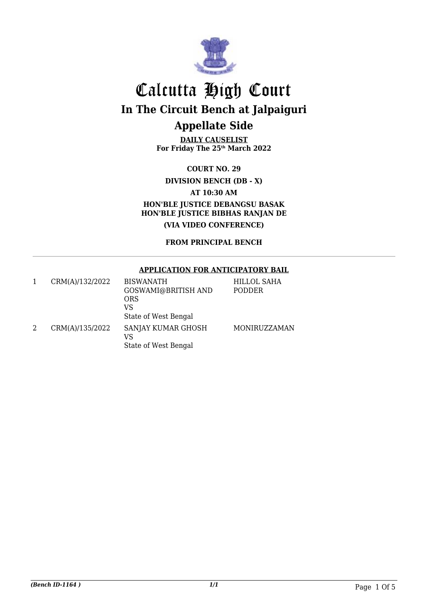

**DAILY CAUSELIST For Friday The 25th March 2022**

**COURT NO. 29**

**DIVISION BENCH (DB - X)**

**AT 10:30 AM**

**HON'BLE JUSTICE DEBANGSU BASAK HON'BLE JUSTICE BIBHAS RANJAN DE (VIA VIDEO CONFERENCE)**

**FROM PRINCIPAL BENCH**

#### **APPLICATION FOR ANTICIPATORY BAIL**

|   | CRM(A)/132/2022 | <b>BISWANATH</b><br>GOSWAMI@BRITISH AND<br><b>ORS</b><br>VS<br>State of West Bengal | HILLOL SAHA<br>PODDER |
|---|-----------------|-------------------------------------------------------------------------------------|-----------------------|
| 2 | CRM(A)/135/2022 | SANJAY KUMAR GHOSH<br>VS<br>State of West Bengal                                    | MONIRUZZAMAN          |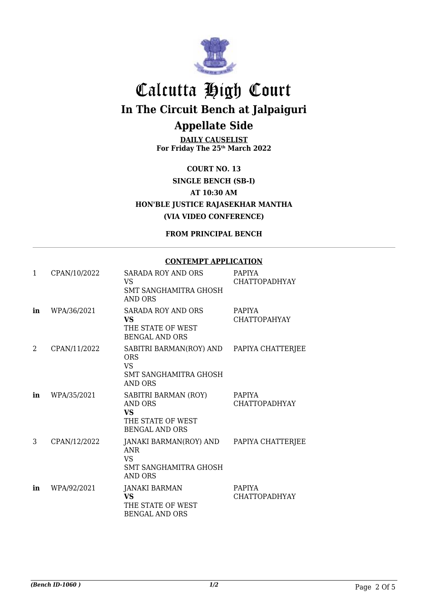

**DAILY CAUSELIST For Friday The 25th March 2022**

**COURT NO. 13 SINGLE BENCH (SB-I) AT 10:30 AM HON'BLE JUSTICE RAJASEKHAR MANTHA (VIA VIDEO CONFERENCE)**

**FROM PRINCIPAL BENCH**

#### **CONTEMPT APPLICATION**

| $\mathbf{1}$ | CPAN/10/2022 | <b>SARADA ROY AND ORS</b><br><b>VS</b><br>SMT SANGHAMITRA GHOSH<br><b>AND ORS</b>                    | PAPIYA<br><b>CHATTOPADHYAY</b>        |
|--------------|--------------|------------------------------------------------------------------------------------------------------|---------------------------------------|
| in           | WPA/36/2021  | SARADA ROY AND ORS<br><b>VS</b><br>THE STATE OF WEST<br><b>BENGAL AND ORS</b>                        | <b>PAPIYA</b><br>CHATTOPAHYAY         |
| 2            | CPAN/11/2022 | SABITRI BARMAN(ROY) AND<br><b>ORS</b><br><b>VS</b><br><b>SMT SANGHAMITRA GHOSH</b><br><b>AND ORS</b> | PAPIYA CHATTERJEE                     |
| in           | WPA/35/2021  | SABITRI BARMAN (ROY)<br><b>AND ORS</b><br><b>VS</b><br>THE STATE OF WEST<br><b>BENGAL AND ORS</b>    | <b>PAPIYA</b><br><b>CHATTOPADHYAY</b> |
| 3            | CPAN/12/2022 | JANAKI BARMAN(ROY) AND<br><b>ANR</b><br><b>VS</b><br>SMT SANGHAMITRA GHOSH<br><b>AND ORS</b>         | PAPIYA CHATTERJEE                     |
| in           | WPA/92/2021  | <b>JANAKI BARMAN</b><br><b>VS</b><br>THE STATE OF WEST<br><b>BENGAL AND ORS</b>                      | <b>PAPIYA</b><br><b>CHATTOPADHYAY</b> |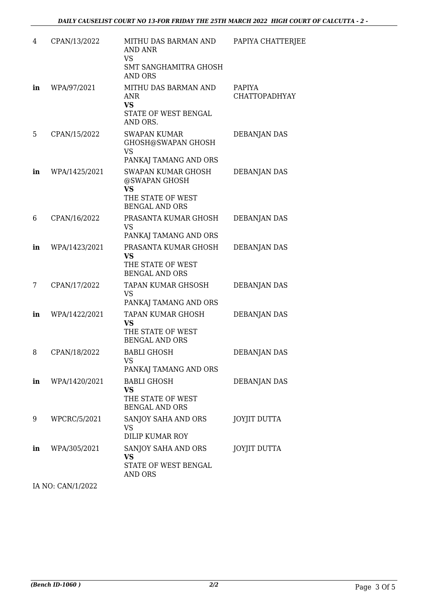| 4  | CPAN/13/2022  | MITHU DAS BARMAN AND<br>AND ANR<br><b>VS</b>                                                   | PAPIYA CHATTERJEE              |
|----|---------------|------------------------------------------------------------------------------------------------|--------------------------------|
|    |               | <b>SMT SANGHAMITRA GHOSH</b><br><b>AND ORS</b>                                                 |                                |
| in | WPA/97/2021   | MITHU DAS BARMAN AND<br><b>ANR</b><br><b>VS</b><br>STATE OF WEST BENGAL<br>AND ORS.            | PAPIYA<br><b>CHATTOPADHYAY</b> |
| 5  | CPAN/15/2022  | <b>SWAPAN KUMAR</b><br>GHOSH@SWAPAN GHOSH<br><b>VS</b><br>PANKAJ TAMANG AND ORS                | DEBANJAN DAS                   |
| in | WPA/1425/2021 | SWAPAN KUMAR GHOSH<br>@SWAPAN GHOSH<br><b>VS</b><br>THE STATE OF WEST<br><b>BENGAL AND ORS</b> | DEBANJAN DAS                   |
| 6  | CPAN/16/2022  | PRASANTA KUMAR GHOSH<br><b>VS</b><br>PANKAJ TAMANG AND ORS                                     | DEBANJAN DAS                   |
| in | WPA/1423/2021 | PRASANTA KUMAR GHOSH<br><b>VS</b><br>THE STATE OF WEST<br><b>BENGAL AND ORS</b>                | DEBANJAN DAS                   |
| 7  | CPAN/17/2022  | TAPAN KUMAR GHSOSH<br><b>VS</b><br>PANKAJ TAMANG AND ORS                                       | DEBANJAN DAS                   |
| in | WPA/1422/2021 | TAPAN KUMAR GHOSH<br><b>VS</b><br>THE STATE OF WEST<br><b>BENGAL AND ORS</b>                   | DEBANJAN DAS                   |
| 8  | CPAN/18/2022  | <b>BABLI GHOSH</b><br><b>VS</b><br>PANKAJ TAMANG AND ORS                                       | <b>DEBANJAN DAS</b>            |
| in | WPA/1420/2021 | <b>BABLI GHOSH</b><br>VS<br>THE STATE OF WEST<br><b>BENGAL AND ORS</b>                         | DEBANJAN DAS                   |
| 9  | WPCRC/5/2021  | SANJOY SAHA AND ORS<br><b>VS</b><br><b>DILIP KUMAR ROY</b>                                     | <b>JOYJIT DUTTA</b>            |
| in | WPA/305/2021  | SANJOY SAHA AND ORS<br>VS<br>STATE OF WEST BENGAL<br><b>AND ORS</b>                            | JOYJIT DUTTA                   |
|    |               |                                                                                                |                                |

IA NO: CAN/1/2022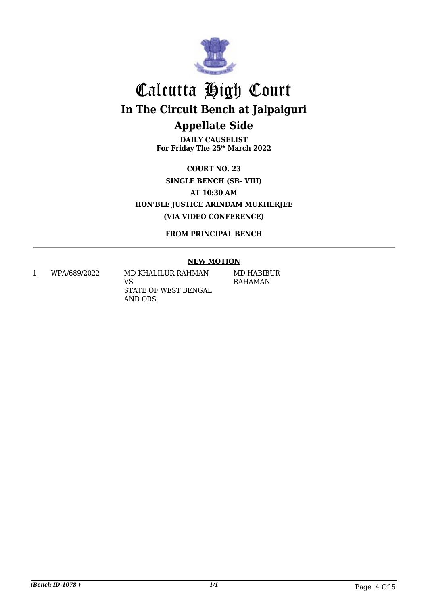

**DAILY CAUSELIST For Friday The 25th March 2022**

**COURT NO. 23 SINGLE BENCH (SB- VIII) AT 10:30 AM HON'BLE JUSTICE ARINDAM MUKHERJEE (VIA VIDEO CONFERENCE)**

**FROM PRINCIPAL BENCH**

#### **NEW MOTION**

1 WPA/689/2022 MD KHALILUR RAHMAN VS STATE OF WEST BENGAL AND ORS.

MD HABIBUR RAHAMAN